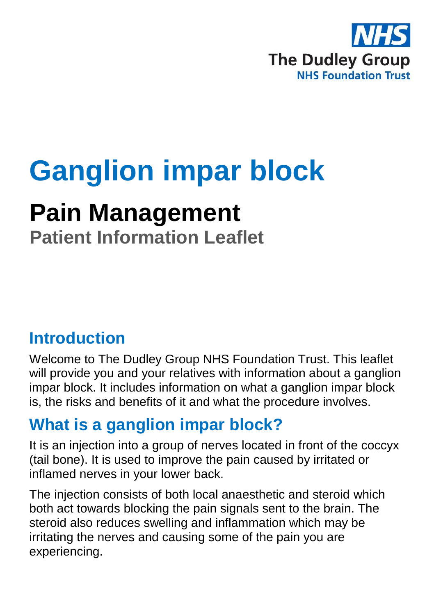

# **Ganglion impar block**

## **Pain Management**

**Patient Information Leaflet**

### **Introduction**

Welcome to The Dudley Group NHS Foundation Trust. This leaflet will provide you and your relatives with information about a ganglion impar block. It includes information on what a ganglion impar block is, the risks and benefits of it and what the procedure involves.

### **What is a ganglion impar block?**

It is an injection into a group of nerves located in front of the coccyx (tail bone). It is used to improve the pain caused by irritated or inflamed nerves in your lower back.

The injection consists of both local anaesthetic and steroid which both act towards blocking the pain signals sent to the brain. The steroid also reduces swelling and inflammation which may be irritating the nerves and causing some of the pain you are experiencing.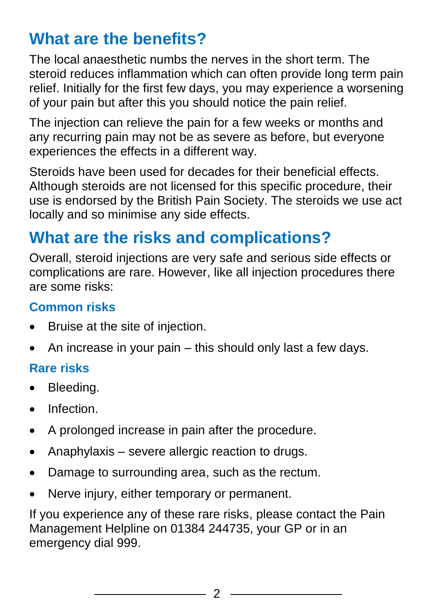### **What are the benefits?**

The local anaesthetic numbs the nerves in the short term. The steroid reduces inflammation which can often provide long term pain relief. Initially for the first few days, you may experience a worsening of your pain but after this you should notice the pain relief.

The injection can relieve the pain for a few weeks or months and any recurring pain may not be as severe as before, but everyone experiences the effects in a different way.

Steroids have been used for decades for their beneficial effects. Although steroids are not licensed for this specific procedure, their use is endorsed by the British Pain Society. The steroids we use act locally and so minimise any side effects.

### **What are the risks and complications?**

Overall, steroid injections are very safe and serious side effects or complications are rare. However, like all injection procedures there are some risks:

#### **Common risks**

- Bruise at the site of injection.
- An increase in your pain this should only last a few days.

#### **Rare risks**

- Bleeding.
- **•** Infection
- A prolonged increase in pain after the procedure.
- Anaphylaxis severe allergic reaction to drugs.
- Damage to surrounding area, such as the rectum.
- Nerve injury, either temporary or permanent.

If you experience any of these rare risks, please contact the Pain Management Helpline on 01384 244735, your GP or in an emergency dial 999.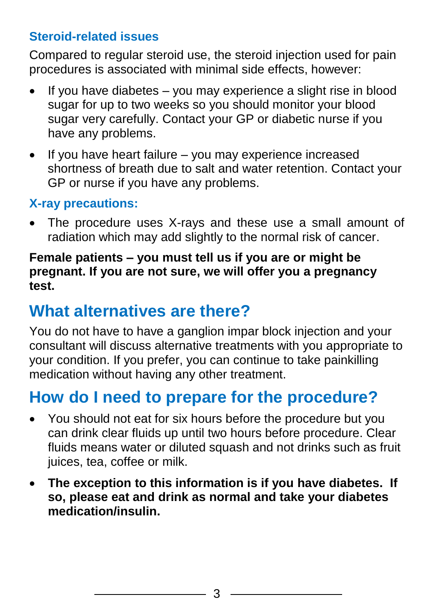#### **Steroid-related issues**

Compared to regular steroid use, the steroid injection used for pain procedures is associated with minimal side effects, however:

- If you have diabetes you may experience a slight rise in blood sugar for up to two weeks so you should monitor your blood sugar very carefully. Contact your GP or diabetic nurse if you have any problems.
- If you have heart failure you may experience increased shortness of breath due to salt and water retention. Contact your GP or nurse if you have any problems.

#### **X-ray precautions:**

 The procedure uses X-rays and these use a small amount of radiation which may add slightly to the normal risk of cancer.

#### **Female patients – you must tell us if you are or might be pregnant. If you are not sure, we will offer you a pregnancy test.**

### **What alternatives are there?**

You do not have to have a ganglion impar block injection and your consultant will discuss alternative treatments with you appropriate to your condition. If you prefer, you can continue to take painkilling medication without having any other treatment.

### **How do I need to prepare for the procedure?**

- You should not eat for six hours before the procedure but you can drink clear fluids up until two hours before procedure. Clear fluids means water or diluted squash and not drinks such as fruit juices, tea, coffee or milk.
- **The exception to this information is if you have diabetes. If so, please eat and drink as normal and take your diabetes medication/insulin.**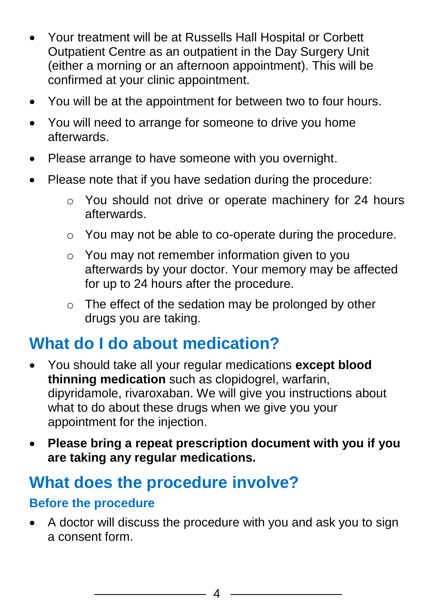- Your treatment will be at Russells Hall Hospital or Corbett Outpatient Centre as an outpatient in the Day Surgery Unit (either a morning or an afternoon appointment). This will be confirmed at your clinic appointment.
- You will be at the appointment for between two to four hours.
- You will need to arrange for someone to drive you home afterwards.
- Please arrange to have someone with you overnight.
- Please note that if you have sedation during the procedure:
	- o You should not drive or operate machinery for 24 hours afterwards.
	- o You may not be able to co-operate during the procedure.
	- o You may not remember information given to you afterwards by your doctor. Your memory may be affected for up to 24 hours after the procedure.
	- o The effect of the sedation may be prolonged by other drugs you are taking.

### **What do I do about medication?**

- You should take all your regular medications **except blood thinning medication** such as clopidogrel, warfarin, dipyridamole, rivaroxaban. We will give you instructions about what to do about these drugs when we give you your appointment for the injection.
- **Please bring a repeat prescription document with you if you are taking any regular medications.**

### **What does the procedure involve?**

#### **Before the procedure**

 A doctor will discuss the procedure with you and ask you to sign a consent form.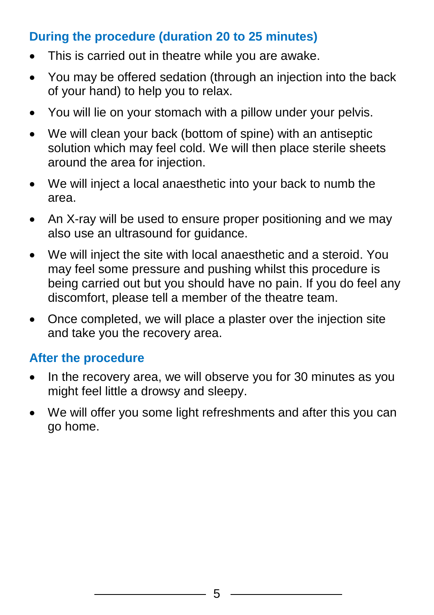#### **During the procedure (duration 20 to 25 minutes)**

- This is carried out in theatre while you are awake.
- You may be offered sedation (through an injection into the back of your hand) to help you to relax.
- You will lie on your stomach with a pillow under your pelvis.
- We will clean your back (bottom of spine) with an antiseptic solution which may feel cold. We will then place sterile sheets around the area for injection.
- We will inject a local anaesthetic into your back to numb the area.
- An X-ray will be used to ensure proper positioning and we may also use an ultrasound for guidance.
- We will inject the site with local anaesthetic and a steroid. You may feel some pressure and pushing whilst this procedure is being carried out but you should have no pain. If you do feel any discomfort, please tell a member of the theatre team.
- Once completed, we will place a plaster over the injection site and take you the recovery area.

#### **After the procedure**

- In the recovery area, we will observe you for 30 minutes as you might feel little a drowsy and sleepy.
- We will offer you some light refreshments and after this you can go home.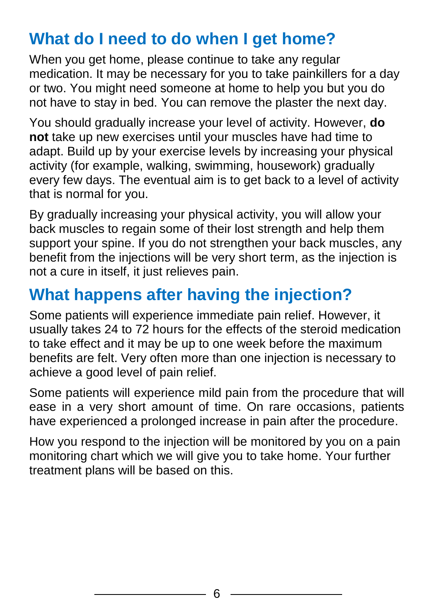### **What do I need to do when I get home?**

When you get home, please continue to take any regular medication. It may be necessary for you to take painkillers for a day or two. You might need someone at home to help you but you do not have to stay in bed. You can remove the plaster the next day.

You should gradually increase your level of activity. However, **do not** take up new exercises until your muscles have had time to adapt. Build up by your exercise levels by increasing your physical activity (for example, walking, swimming, housework) gradually every few days. The eventual aim is to get back to a level of activity that is normal for you.

By gradually increasing your physical activity, you will allow your back muscles to regain some of their lost strength and help them support your spine. If you do not strengthen your back muscles, any benefit from the injections will be very short term, as the injection is not a cure in itself, it just relieves pain.

### **What happens after having the injection?**

Some patients will experience immediate pain relief. However, it usually takes 24 to 72 hours for the effects of the steroid medication to take effect and it may be up to one week before the maximum benefits are felt. Very often more than one injection is necessary to achieve a good level of pain relief.

Some patients will experience mild pain from the procedure that will ease in a very short amount of time. On rare occasions, patients have experienced a prolonged increase in pain after the procedure.

How you respond to the injection will be monitored by you on a pain monitoring chart which we will give you to take home. Your further treatment plans will be based on this.